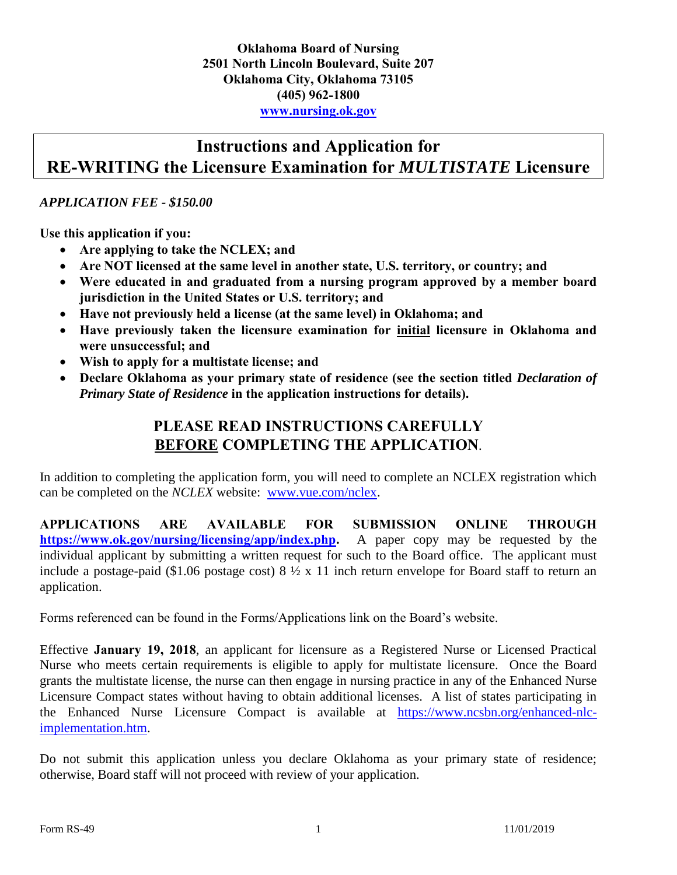#### **Instructions and Application for RE-WRITING the Licensure Examination for** *MULTISTATE* **Licensure**

#### *APPLICATION FEE - \$150.00*

**Use this application if you:**

- **Are applying to take the NCLEX; and**
- **Are NOT licensed at the same level in another state, U.S. territory, or country; and**
- **Were educated in and graduated from a nursing program approved by a member board jurisdiction in the United States or U.S. territory; and**
- **Have not previously held a license (at the same level) in Oklahoma; and**
- **Have previously taken the licensure examination for initial licensure in Oklahoma and were unsuccessful; and**
- **Wish to apply for a multistate license; and**
- **Declare Oklahoma as your primary state of residence (see the section titled** *Declaration of Primary State of Residence* **in the application instructions for details).**

#### **PLEASE READ INSTRUCTIONS CAREFULLY BEFORE COMPLETING THE APPLICATION**.

In addition to completing the application form, you will need to complete an NCLEX registration which can be completed on the *NCLEX* website: [www.vue.com/nclex.](http://www.vue.com/nclex)

**APPLICATIONS ARE AVAILABLE FOR SUBMISSION ONLINE THROUGH [https://www.ok.gov/nursing/licensing/app/index.php.](https://www.ok.gov/nursing/licensing/app/index.php)** A paper copy may be requested by the individual applicant by submitting a written request for such to the Board office. The applicant must include a postage-paid (\$1.06 postage cost) 8 ½ x 11 inch return envelope for Board staff to return an application.

Forms referenced can be found in the Forms/Applications link on the Board's website.

Effective **January 19, 2018**, an applicant for licensure as a Registered Nurse or Licensed Practical Nurse who meets certain requirements is eligible to apply for multistate licensure. Once the Board grants the multistate license, the nurse can then engage in nursing practice in any of the Enhanced Nurse Licensure Compact states without having to obtain additional licenses. A list of states participating in the Enhanced Nurse Licensure Compact is available at [https://www.ncsbn.org/enhanced-nlc](https://www.ncsbn.org/enhanced-nlc-implementation.htm)[implementation.htm.](https://www.ncsbn.org/enhanced-nlc-implementation.htm)

Do not submit this application unless you declare Oklahoma as your primary state of residence; otherwise, Board staff will not proceed with review of your application.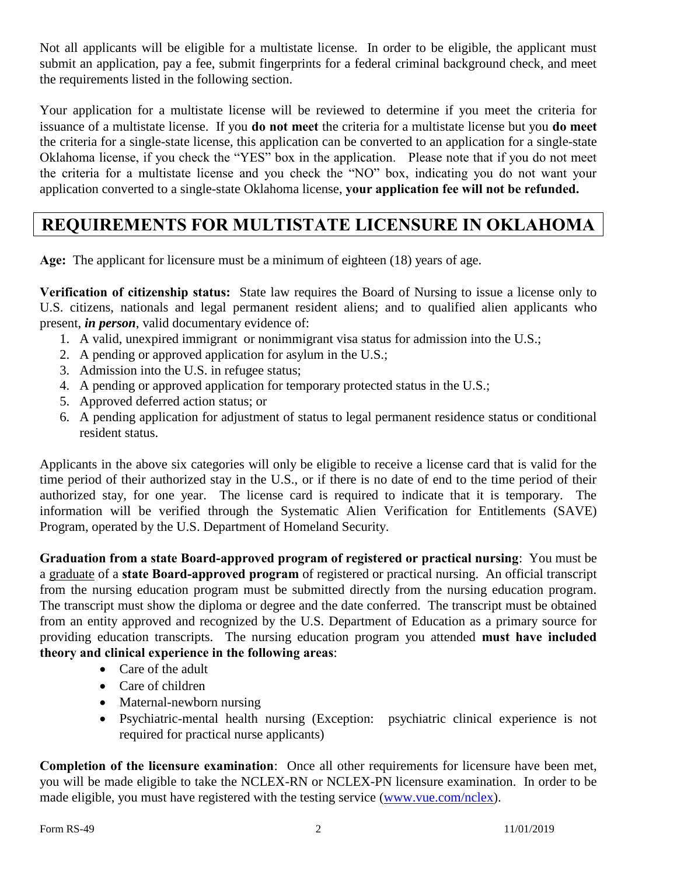Not all applicants will be eligible for a multistate license. In order to be eligible, the applicant must submit an application, pay a fee, submit fingerprints for a federal criminal background check, and meet the requirements listed in the following section.

Your application for a multistate license will be reviewed to determine if you meet the criteria for issuance of a multistate license. If you **do not meet** the criteria for a multistate license but you **do meet** the criteria for a single-state license, this application can be converted to an application for a single-state Oklahoma license, if you check the "YES" box in the application. Please note that if you do not meet the criteria for a multistate license and you check the "NO" box, indicating you do not want your application converted to a single-state Oklahoma license, **your application fee will not be refunded.** 

### **REQUIREMENTS FOR MULTISTATE LICENSURE IN OKLAHOMA**

**Age:** The applicant for licensure must be a minimum of eighteen (18) years of age.

**Verification of citizenship status:** State law requires the Board of Nursing to issue a license only to U.S. citizens, nationals and legal permanent resident aliens; and to qualified alien applicants who present, *in person*, valid documentary evidence of:

- 1. A valid, unexpired immigrant or nonimmigrant visa status for admission into the U.S.;
- 2. A pending or approved application for asylum in the U.S.;
- 3. Admission into the U.S. in refugee status;
- 4. A pending or approved application for temporary protected status in the U.S.;
- 5. Approved deferred action status; or
- 6. A pending application for adjustment of status to legal permanent residence status or conditional resident status.

Applicants in the above six categories will only be eligible to receive a license card that is valid for the time period of their authorized stay in the U.S., or if there is no date of end to the time period of their authorized stay, for one year. The license card is required to indicate that it is temporary. The information will be verified through the Systematic Alien Verification for Entitlements (SAVE) Program, operated by the U.S. Department of Homeland Security.

**Graduation from a state Board-approved program of registered or practical nursing**: You must be a graduate of a **state Board-approved program** of registered or practical nursing. An official transcript from the nursing education program must be submitted directly from the nursing education program. The transcript must show the diploma or degree and the date conferred. The transcript must be obtained from an entity approved and recognized by the U.S. Department of Education as a primary source for providing education transcripts. The nursing education program you attended **must have included theory and clinical experience in the following areas**:

- Care of the adult
- Care of children
- Maternal-newborn nursing
- Psychiatric-mental health nursing (Exception: psychiatric clinical experience is not required for practical nurse applicants)

**Completion of the licensure examination**: Once all other requirements for licensure have been met, you will be made eligible to take the NCLEX-RN or NCLEX-PN licensure examination. In order to be made eligible, you must have registered with the testing service [\(www.vue.com/nclex\)](file:///C:/Users/13149C/AppData/Local/Microsoft/Windows/Temporary%20Internet%20Files/Content.Outlook/XB6QLJBC/Drafts/Rules%20082715/www.vue.com/nclex).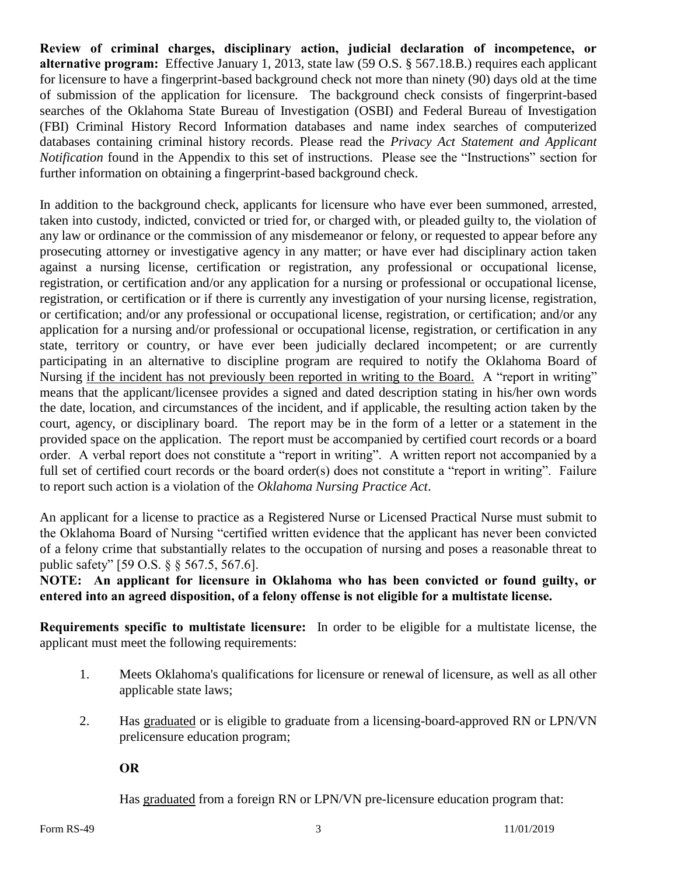**Review of criminal charges, disciplinary action, judicial declaration of incompetence, or alternative program:** Effective January 1, 2013, state law (59 O.S. § 567.18.B.) requires each applicant for licensure to have a fingerprint-based background check not more than ninety (90) days old at the time of submission of the application for licensure. The background check consists of fingerprint-based searches of the Oklahoma State Bureau of Investigation (OSBI) and Federal Bureau of Investigation (FBI) Criminal History Record Information databases and name index searches of computerized databases containing criminal history records. Please read the *Privacy Act Statement and Applicant Notification* found in the Appendix to this set of instructions. Please see the "Instructions" section for further information on obtaining a fingerprint-based background check.

In addition to the background check, applicants for licensure who have ever been summoned, arrested, taken into custody, indicted, convicted or tried for, or charged with, or pleaded guilty to, the violation of any law or ordinance or the commission of any misdemeanor or felony, or requested to appear before any prosecuting attorney or investigative agency in any matter; or have ever had disciplinary action taken against a nursing license, certification or registration, any professional or occupational license, registration, or certification and/or any application for a nursing or professional or occupational license, registration, or certification or if there is currently any investigation of your nursing license, registration, or certification; and/or any professional or occupational license, registration, or certification; and/or any application for a nursing and/or professional or occupational license, registration, or certification in any state, territory or country, or have ever been judicially declared incompetent; or are currently participating in an alternative to discipline program are required to notify the Oklahoma Board of Nursing if the incident has not previously been reported in writing to the Board. A "report in writing" means that the applicant/licensee provides a signed and dated description stating in his/her own words the date, location, and circumstances of the incident, and if applicable, the resulting action taken by the court, agency, or disciplinary board. The report may be in the form of a letter or a statement in the provided space on the application. The report must be accompanied by certified court records or a board order. A verbal report does not constitute a "report in writing". A written report not accompanied by a full set of certified court records or the board order(s) does not constitute a "report in writing". Failure to report such action is a violation of the *Oklahoma Nursing Practice Act*.

An applicant for a license to practice as a Registered Nurse or Licensed Practical Nurse must submit to the Oklahoma Board of Nursing "certified written evidence that the applicant has never been convicted of a felony crime that substantially relates to the occupation of nursing and poses a reasonable threat to public safety" [59 O.S. § § 567.5, 567.6].

**NOTE: An applicant for licensure in Oklahoma who has been convicted or found guilty, or entered into an agreed disposition, of a felony offense is not eligible for a multistate license.**

**Requirements specific to multistate licensure:** In order to be eligible for a multistate license, the applicant must meet the following requirements:

- 1. Meets Oklahoma's qualifications for licensure or renewal of licensure, as well as all other applicable state laws;
- 2. Has graduated or is eligible to graduate from a licensing-board-approved RN or LPN/VN prelicensure education program;

**OR**

Has graduated from a foreign RN or LPN/VN pre-licensure education program that: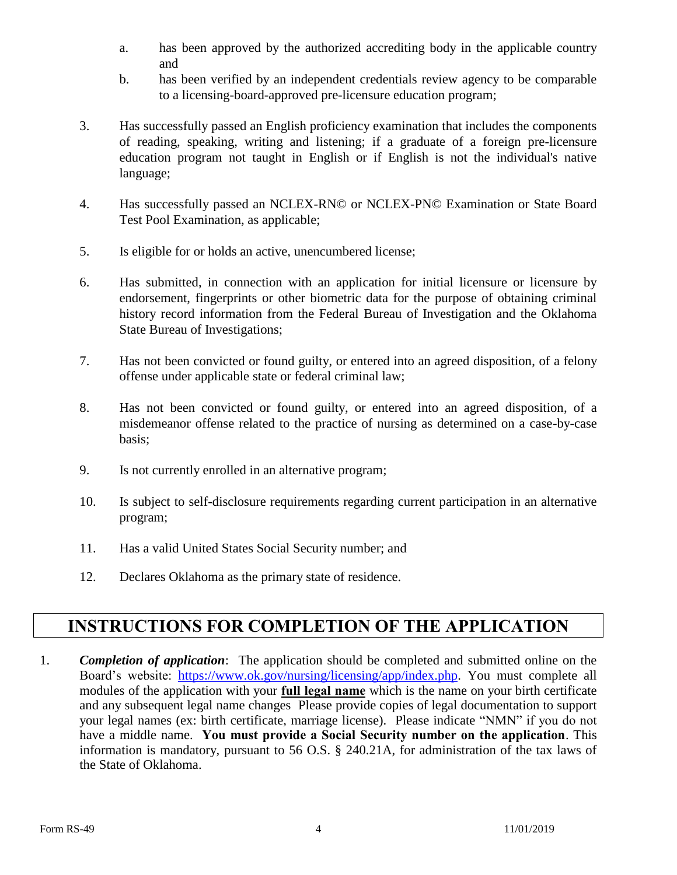- a. has been approved by the authorized accrediting body in the applicable country and
- b. has been verified by an independent credentials review agency to be comparable to a licensing-board-approved pre-licensure education program;
- 3. Has successfully passed an English proficiency examination that includes the components of reading, speaking, writing and listening; if a graduate of a foreign pre-licensure education program not taught in English or if English is not the individual's native language;
- 4. Has successfully passed an NCLEX-RN© or NCLEX-PN© Examination or State Board Test Pool Examination, as applicable;
- 5. Is eligible for or holds an active, unencumbered license;
- 6. Has submitted, in connection with an application for initial licensure or licensure by endorsement, fingerprints or other biometric data for the purpose of obtaining criminal history record information from the Federal Bureau of Investigation and the Oklahoma State Bureau of Investigations;
- 7. Has not been convicted or found guilty, or entered into an agreed disposition, of a felony offense under applicable state or federal criminal law;
- 8. Has not been convicted or found guilty, or entered into an agreed disposition, of a misdemeanor offense related to the practice of nursing as determined on a case-by-case basis;
- 9. Is not currently enrolled in an alternative program;
- 10. Is subject to self-disclosure requirements regarding current participation in an alternative program;
- 11. Has a valid United States Social Security number; and
- 12. Declares Oklahoma as the primary state of residence.

#### **INSTRUCTIONS FOR COMPLETION OF THE APPLICATION**

1. *Completion of application*: The application should be completed and submitted online on the Board's website: [https://www.ok.gov/nursing/licensing/app/index.php.](https://www.ok.gov/nursing/licensing/app/index.php) You must complete all modules of the application with your **full legal name** which is the name on your birth certificate and any subsequent legal name changes Please provide copies of legal documentation to support your legal names (ex: birth certificate, marriage license). Please indicate "NMN" if you do not have a middle name. **You must provide a Social Security number on the application**. This information is mandatory, pursuant to 56 O.S. § 240.21A, for administration of the tax laws of the State of Oklahoma.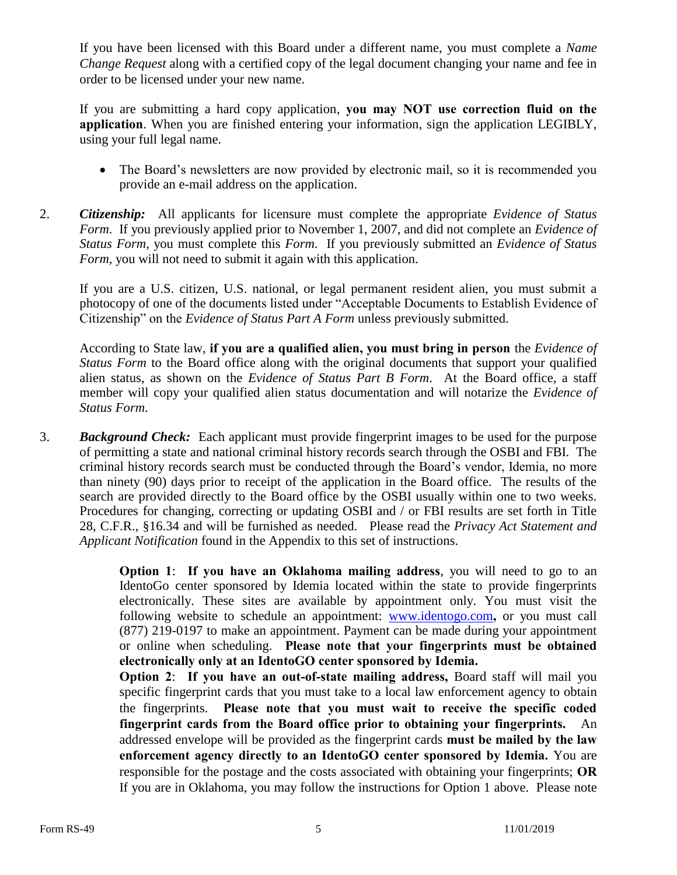If you have been licensed with this Board under a different name, you must complete a *Name Change Request* along with a certified copy of the legal document changing your name and fee in order to be licensed under your new name.

If you are submitting a hard copy application, **you may NOT use correction fluid on the application**. When you are finished entering your information, sign the application LEGIBLY, using your full legal name.

- The Board's newsletters are now provided by electronic mail, so it is recommended you provide an e-mail address on the application.
- 2. *Citizenship:* All applicants for licensure must complete the appropriate *Evidence of Status Form*. If you previously applied prior to November 1, 2007, and did not complete an *Evidence of Status Form*, you must complete this *Form*. If you previously submitted an *Evidence of Status Form*, you will not need to submit it again with this application.

If you are a U.S. citizen, U.S. national, or legal permanent resident alien, you must submit a photocopy of one of the documents listed under "Acceptable Documents to Establish Evidence of Citizenship" on the *Evidence of Status Part A Form* unless previously submitted.

According to State law, **if you are a qualified alien, you must bring in person** the *Evidence of Status Form* to the Board office along with the original documents that support your qualified alien status, as shown on the *Evidence of Status Part B Form*. At the Board office, a staff member will copy your qualified alien status documentation and will notarize the *Evidence of Status Form*.

3. *Background Check:* Each applicant must provide fingerprint images to be used for the purpose of permitting a state and national criminal history records search through the OSBI and FBI. The criminal history records search must be conducted through the Board's vendor, Idemia, no more than ninety (90) days prior to receipt of the application in the Board office. The results of the search are provided directly to the Board office by the OSBI usually within one to two weeks. Procedures for changing, correcting or updating OSBI and / or FBI results are set forth in Title 28, C.F.R., §16.34 and will be furnished as needed. Please read the *Privacy Act Statement and Applicant Notification* found in the Appendix to this set of instructions.

> **Option 1**: **If you have an Oklahoma mailing address**, you will need to go to an IdentoGo center sponsored by Idemia located within the state to provide fingerprints electronically. These sites are available by appointment only. You must visit the following website to schedule an appointment: [www.identogo.com](http://www.identogo.com/)**,** or you must call (877) 219-0197 to make an appointment. Payment can be made during your appointment or online when scheduling. **Please note that your fingerprints must be obtained electronically only at an IdentoGO center sponsored by Idemia.**

> **Option 2**: **If you have an out-of-state mailing address,** Board staff will mail you specific fingerprint cards that you must take to a local law enforcement agency to obtain the fingerprints. **Please note that you must wait to receive the specific coded fingerprint cards from the Board office prior to obtaining your fingerprints.** An addressed envelope will be provided as the fingerprint cards **must be mailed by the law enforcement agency directly to an IdentoGO center sponsored by Idemia.** You are responsible for the postage and the costs associated with obtaining your fingerprints; **OR** If you are in Oklahoma, you may follow the instructions for Option 1 above. Please note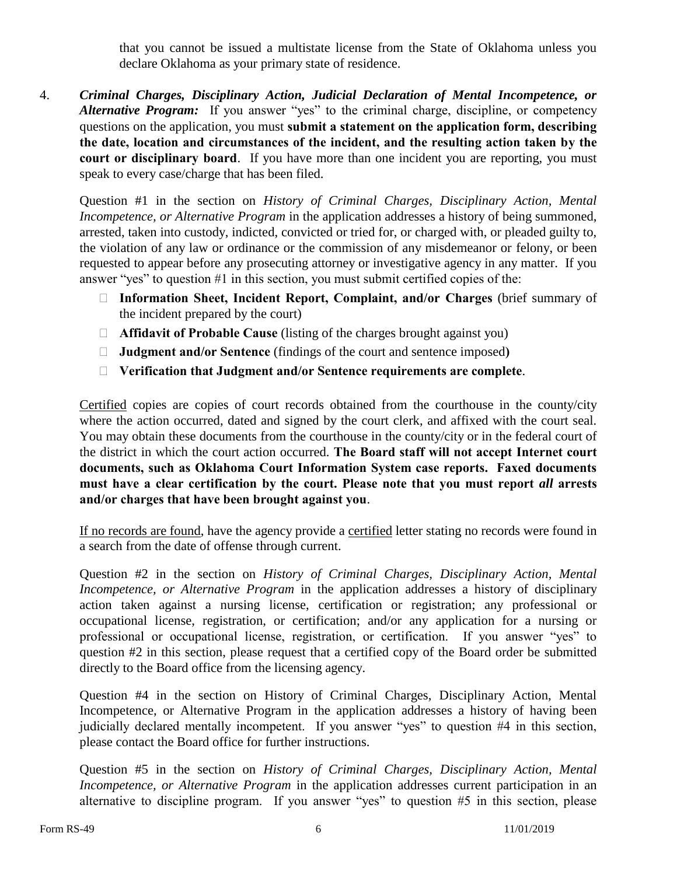that you cannot be issued a multistate license from the State of Oklahoma unless you declare Oklahoma as your primary state of residence.

4. *Criminal Charges, Disciplinary Action, Judicial Declaration of Mental Incompetence, or*  Alternative Program: If you answer "yes" to the criminal charge, discipline, or competency questions on the application, you must **submit a statement on the application form, describing the date, location and circumstances of the incident, and the resulting action taken by the court or disciplinary board**. If you have more than one incident you are reporting, you must speak to every case/charge that has been filed.

Question #1 in the section on *History of Criminal Charges, Disciplinary Action, Mental Incompetence, or Alternative Program* in the application addresses a history of being summoned, arrested, taken into custody, indicted, convicted or tried for, or charged with, or pleaded guilty to, the violation of any law or ordinance or the commission of any misdemeanor or felony, or been requested to appear before any prosecuting attorney or investigative agency in any matter. If you answer "yes" to question #1 in this section, you must submit certified copies of the:

- **Information Sheet, Incident Report, Complaint, and/or Charges** (brief summary of the incident prepared by the court)
- **Affidavit of Probable Cause** (listing of the charges brought against you)
- **Judgment and/or Sentence** (findings of the court and sentence imposed**)**
- **Verification that Judgment and/or Sentence requirements are complete**.

Certified copies are copies of court records obtained from the courthouse in the county/city where the action occurred, dated and signed by the court clerk, and affixed with the court seal. You may obtain these documents from the courthouse in the county/city or in the federal court of the district in which the court action occurred. **The Board staff will not accept Internet court documents, such as Oklahoma Court Information System case reports. Faxed documents must have a clear certification by the court. Please note that you must report** *all* **arrests and/or charges that have been brought against you**.

If no records are found, have the agency provide a certified letter stating no records were found in a search from the date of offense through current.

Question #2 in the section on *History of Criminal Charges, Disciplinary Action, Mental Incompetence, or Alternative Program* in the application addresses a history of disciplinary action taken against a nursing license, certification or registration; any professional or occupational license, registration, or certification; and/or any application for a nursing or professional or occupational license, registration, or certification. If you answer "yes" to question #2 in this section, please request that a certified copy of the Board order be submitted directly to the Board office from the licensing agency.

Question #4 in the section on History of Criminal Charges, Disciplinary Action, Mental Incompetence, or Alternative Program in the application addresses a history of having been judicially declared mentally incompetent. If you answer "yes" to question #4 in this section, please contact the Board office for further instructions.

Question #5 in the section on *History of Criminal Charges, Disciplinary Action, Mental Incompetence, or Alternative Program* in the application addresses current participation in an alternative to discipline program. If you answer "yes" to question #5 in this section, please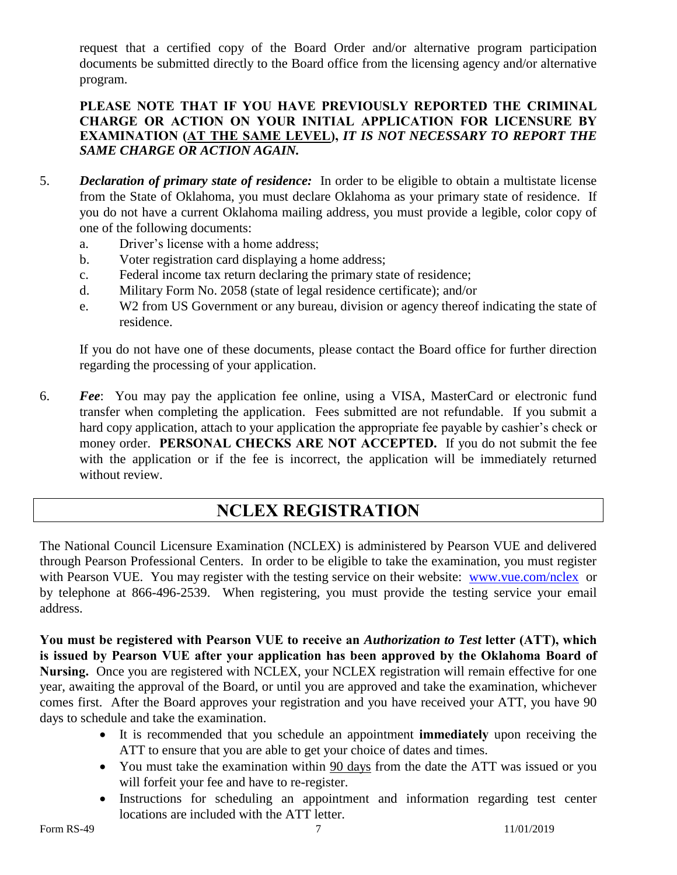request that a certified copy of the Board Order and/or alternative program participation documents be submitted directly to the Board office from the licensing agency and/or alternative program.

#### **PLEASE NOTE THAT IF YOU HAVE PREVIOUSLY REPORTED THE CRIMINAL CHARGE OR ACTION ON YOUR INITIAL APPLICATION FOR LICENSURE BY EXAMINATION (AT THE SAME LEVEL),** *IT IS NOT NECESSARY TO REPORT THE SAME CHARGE OR ACTION AGAIN.*

- 5. *Declaration of primary state of residence:* In order to be eligible to obtain a multistate license from the State of Oklahoma, you must declare Oklahoma as your primary state of residence. If you do not have a current Oklahoma mailing address, you must provide a legible, color copy of one of the following documents:
	- a. Driver's license with a home address;
	- b. Voter registration card displaying a home address;
	- c. Federal income tax return declaring the primary state of residence;
	- d. Military Form No. 2058 (state of legal residence certificate); and/or
	- e. W2 from US Government or any bureau, division or agency thereof indicating the state of residence.

If you do not have one of these documents, please contact the Board office for further direction regarding the processing of your application.

6. *Fee*: You may pay the application fee online, using a VISA, MasterCard or electronic fund transfer when completing the application. Fees submitted are not refundable. If you submit a hard copy application, attach to your application the appropriate fee payable by cashier's check or money order. **PERSONAL CHECKS ARE NOT ACCEPTED.** If you do not submit the fee with the application or if the fee is incorrect, the application will be immediately returned without review.

#### **NCLEX REGISTRATION**

The National Council Licensure Examination (NCLEX) is administered by Pearson VUE and delivered through Pearson Professional Centers. In order to be eligible to take the examination, you must register with Pearson VUE. You may register with the testing service on their website: [www.vue.com/nclex](http://www.vue.com/nclex) or by telephone at 866-496-2539. When registering, you must provide the testing service your email address.

**You must be registered with Pearson VUE to receive an** *Authorization to Test* **letter (ATT), which is issued by Pearson VUE after your application has been approved by the Oklahoma Board of Nursing.** Once you are registered with NCLEX, your NCLEX registration will remain effective for one year, awaiting the approval of the Board, or until you are approved and take the examination, whichever comes first. After the Board approves your registration and you have received your ATT, you have 90 days to schedule and take the examination.

- It is recommended that you schedule an appointment **immediately** upon receiving the ATT to ensure that you are able to get your choice of dates and times.
- You must take the examination within 90 days from the date the ATT was issued or you will forfeit your fee and have to re-register.
- Instructions for scheduling an appointment and information regarding test center locations are included with the ATT letter.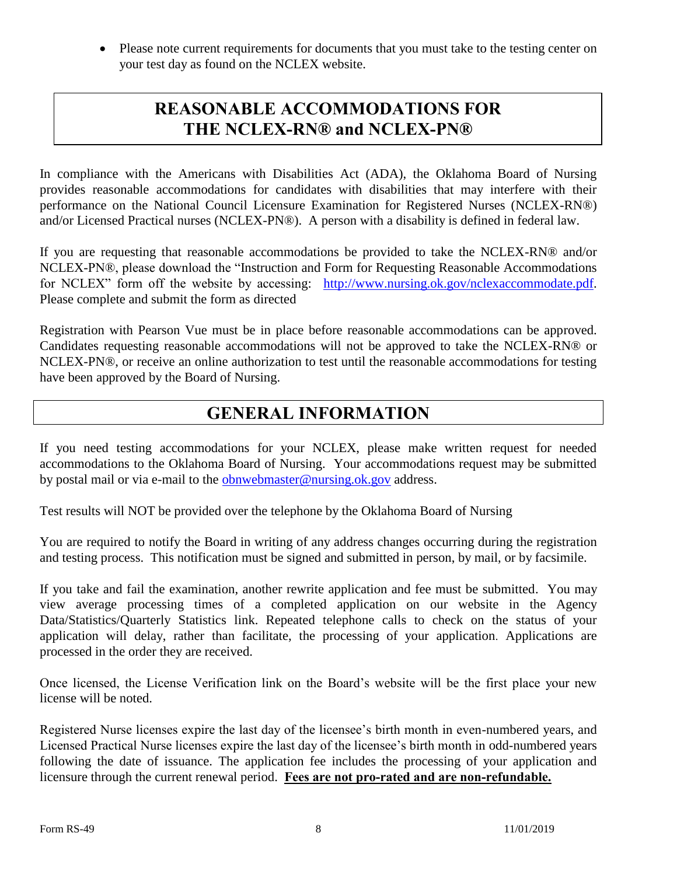• Please note current requirements for documents that you must take to the testing center on your test day as found on the NCLEX website.

#### **REASONABLE ACCOMMODATIONS FOR THE NCLEX-RN® and NCLEX-PN®**

In compliance with the Americans with Disabilities Act (ADA), the Oklahoma Board of Nursing provides reasonable accommodations for candidates with disabilities that may interfere with their performance on the National Council Licensure Examination for Registered Nurses (NCLEX-RN®) and/or Licensed Practical nurses (NCLEX-PN®). A person with a disability is defined in federal law.

If you are requesting that reasonable accommodations be provided to take the NCLEX-RN® and/or NCLEX-PN®, please download the "Instruction and Form for Requesting Reasonable Accommodations for NCLEX" form off the website by accessing: [http://www.nursing.ok.gov/nclexaccommodate.pdf.](http://www.nursing.ok.gov/nclexaccommodate.pdf) Please complete and submit the form as directed

Registration with Pearson Vue must be in place before reasonable accommodations can be approved. Candidates requesting reasonable accommodations will not be approved to take the NCLEX-RN® or NCLEX-PN®, or receive an online authorization to test until the reasonable accommodations for testing have been approved by the Board of Nursing.

#### **GENERAL INFORMATION**

If you need testing accommodations for your NCLEX, please make written request for needed accommodations to the Oklahoma Board of Nursing. Your accommodations request may be submitted by postal mail or via e-mail to the [obnwebmaster@nursing.ok.gov](mailto:obnwebmaster@nursing.ok.gov) address.

Test results will NOT be provided over the telephone by the Oklahoma Board of Nursing

You are required to notify the Board in writing of any address changes occurring during the registration and testing process. This notification must be signed and submitted in person, by mail, or by facsimile.

If you take and fail the examination, another rewrite application and fee must be submitted. You may view average processing times of a completed application on our website in the Agency Data/Statistics/Quarterly Statistics link. Repeated telephone calls to check on the status of your application will delay, rather than facilitate, the processing of your application. Applications are processed in the order they are received.

Once licensed, the License Verification link on the Board's website will be the first place your new license will be noted.

Registered Nurse licenses expire the last day of the licensee's birth month in even-numbered years, and Licensed Practical Nurse licenses expire the last day of the licensee's birth month in odd-numbered years following the date of issuance. The application fee includes the processing of your application and licensure through the current renewal period. **Fees are not pro-rated and are non-refundable.**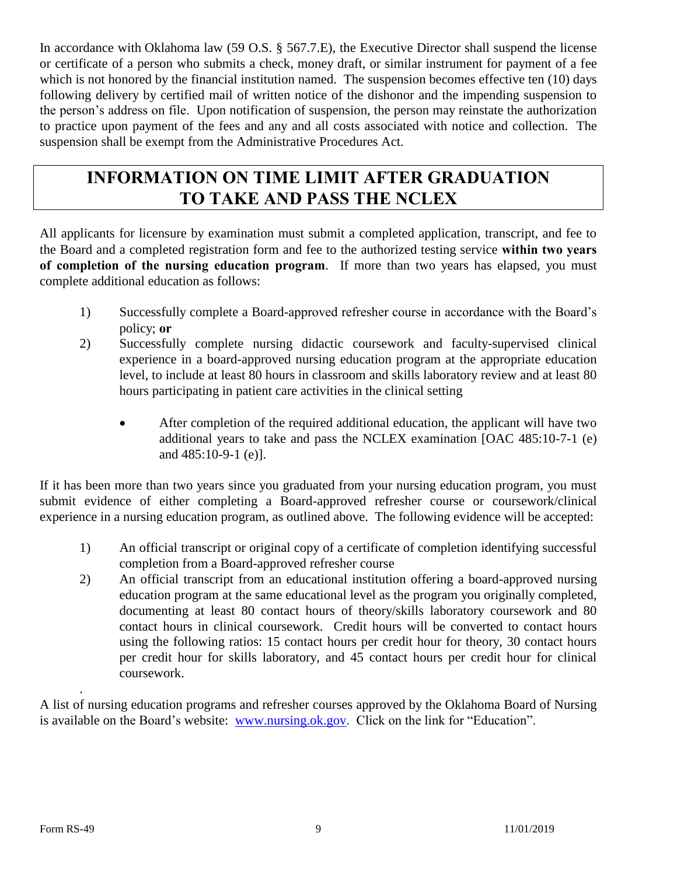In accordance with Oklahoma law (59 O.S. § 567.7.E), the Executive Director shall suspend the license or certificate of a person who submits a check, money draft, or similar instrument for payment of a fee which is not honored by the financial institution named. The suspension becomes effective ten (10) days following delivery by certified mail of written notice of the dishonor and the impending suspension to the person's address on file. Upon notification of suspension, the person may reinstate the authorization to practice upon payment of the fees and any and all costs associated with notice and collection. The suspension shall be exempt from the Administrative Procedures Act.

### **INFORMATION ON TIME LIMIT AFTER GRADUATION TO TAKE AND PASS THE NCLEX**

All applicants for licensure by examination must submit a completed application, transcript, and fee to the Board and a completed registration form and fee to the authorized testing service **within two years of completion of the nursing education program**. If more than two years has elapsed, you must complete additional education as follows:

- 1) Successfully complete a Board-approved refresher course in accordance with the Board's policy; **or**
- 2) Successfully complete nursing didactic coursework and faculty-supervised clinical experience in a board-approved nursing education program at the appropriate education level, to include at least 80 hours in classroom and skills laboratory review and at least 80 hours participating in patient care activities in the clinical setting
	- After completion of the required additional education, the applicant will have two additional years to take and pass the NCLEX examination [OAC 485:10-7-1 (e) and 485:10-9-1 (e)].

If it has been more than two years since you graduated from your nursing education program, you must submit evidence of either completing a Board-approved refresher course or coursework/clinical experience in a nursing education program, as outlined above. The following evidence will be accepted:

- 1) An official transcript or original copy of a certificate of completion identifying successful completion from a Board-approved refresher course
- 2) An official transcript from an educational institution offering a board-approved nursing education program at the same educational level as the program you originally completed, documenting at least 80 contact hours of theory/skills laboratory coursework and 80 contact hours in clinical coursework. Credit hours will be converted to contact hours using the following ratios: 15 contact hours per credit hour for theory, 30 contact hours per credit hour for skills laboratory, and 45 contact hours per credit hour for clinical coursework.

A list of nursing education programs and refresher courses approved by the Oklahoma Board of Nursing is available on the Board's website: [www.nursing.ok.gov.](http://www.nursing.ok.gov/) Click on the link for "Education".

.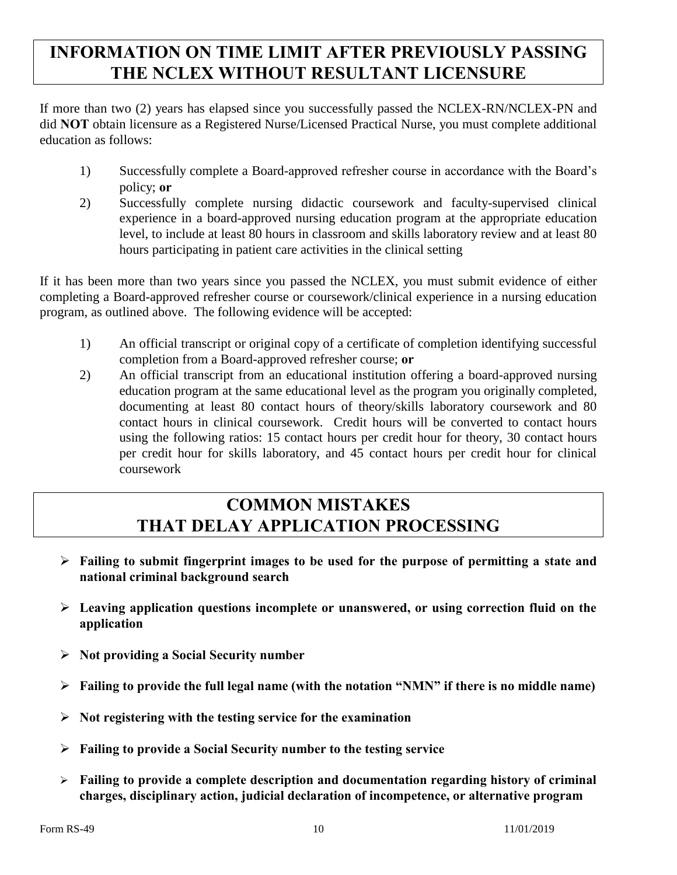## **INFORMATION ON TIME LIMIT AFTER PREVIOUSLY PASSING THE NCLEX WITHOUT RESULTANT LICENSURE**

If more than two (2) years has elapsed since you successfully passed the NCLEX-RN/NCLEX-PN and did **NOT** obtain licensure as a Registered Nurse/Licensed Practical Nurse, you must complete additional education as follows:

- 1) Successfully complete a Board-approved refresher course in accordance with the Board's policy; **or**
- 2) Successfully complete nursing didactic coursework and faculty-supervised clinical experience in a board-approved nursing education program at the appropriate education level, to include at least 80 hours in classroom and skills laboratory review and at least 80 hours participating in patient care activities in the clinical setting

If it has been more than two years since you passed the NCLEX, you must submit evidence of either completing a Board-approved refresher course or coursework/clinical experience in a nursing education program, as outlined above. The following evidence will be accepted:

- 1) An official transcript or original copy of a certificate of completion identifying successful completion from a Board-approved refresher course; **or**
- 2) An official transcript from an educational institution offering a board-approved nursing education program at the same educational level as the program you originally completed, documenting at least 80 contact hours of theory/skills laboratory coursework and 80 contact hours in clinical coursework. Credit hours will be converted to contact hours using the following ratios: 15 contact hours per credit hour for theory, 30 contact hours per credit hour for skills laboratory, and 45 contact hours per credit hour for clinical coursework

### **COMMON MISTAKES THAT DELAY APPLICATION PROCESSING**

- **Failing to submit fingerprint images to be used for the purpose of permitting a state and national criminal background search**
- **Leaving application questions incomplete or unanswered, or using correction fluid on the application**
- **Not providing a Social Security number**
- **Failing to provide the full legal name (with the notation "NMN" if there is no middle name)**
- **Not registering with the testing service for the examination**
- **Failing to provide a Social Security number to the testing service**
- **Failing to provide a complete description and documentation regarding history of criminal charges, disciplinary action, judicial declaration of incompetence, or alternative program**